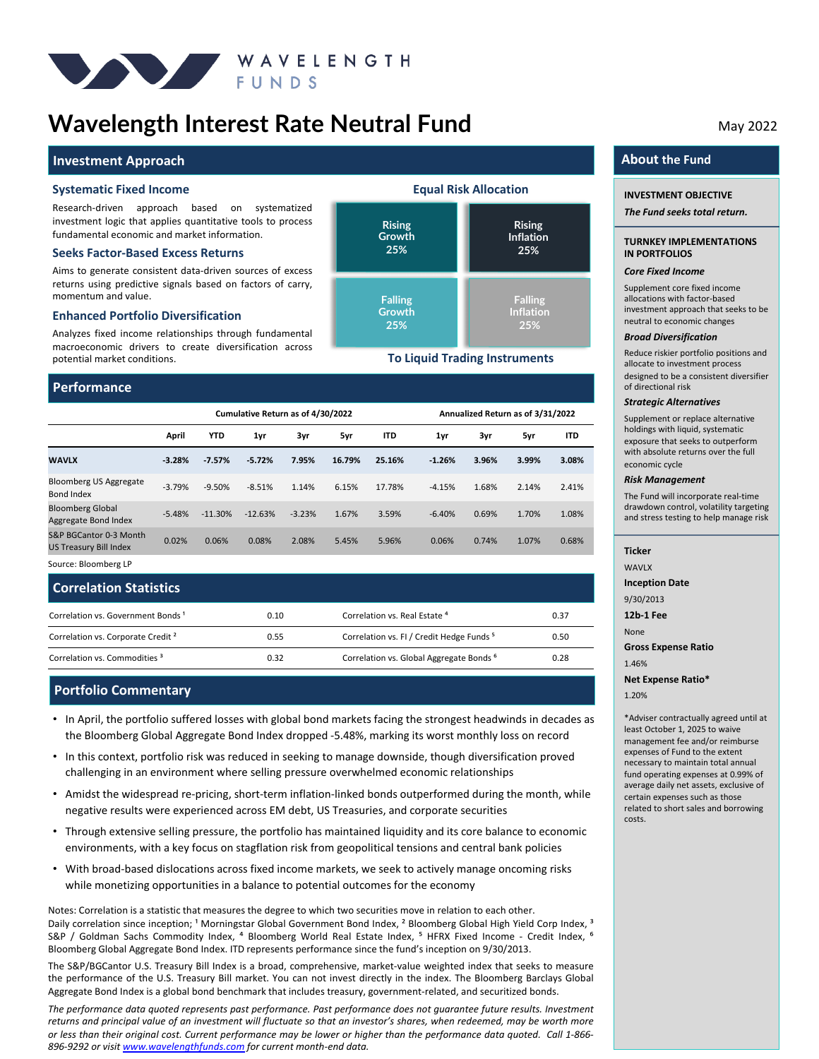

## **Wavelength Interest Rate Neutral Fund** May 2022

#### **Investment Approach**

#### **Systematic Fixed Income**

Research-driven approach based on systematized investment logic that applies quantitative tools to process fundamental economic and market information.

#### **Seeks Factor-Based Excess Returns**

Aims to generate consistent data-driven sources of excess returns using predictive signals based on factors of carry, momentum and value.

#### **Enhanced Portfolio Diversification**

Analyzes fixed income relationships through fundamental macroeconomic drivers to create diversification across potential market conditions.

#### **Performance**

|                                                  | Cumulative Return as of 4/30/2022 |            |           |          | Annualized Return as of 3/31/2022 |            |          |       |       |            |
|--------------------------------------------------|-----------------------------------|------------|-----------|----------|-----------------------------------|------------|----------|-------|-------|------------|
|                                                  | April                             | <b>YTD</b> | 1yr       | 3yr      | 5yr                               | <b>ITD</b> | 1yr      | 3yr   | 5yr   | <b>ITD</b> |
| <b>WAVLX</b>                                     | $-3.28%$                          | $-7.57%$   | $-5.72%$  | 7.95%    | 16.79%                            | 25.16%     | $-1.26%$ | 3.96% | 3.99% | 3.08%      |
| Bloomberg US Aggregate<br>Bond Index             | $-3.79%$                          | $-9.50%$   | $-8.51%$  | 1.14%    | 6.15%                             | 17.78%     | $-4.15%$ | 1.68% | 2.14% | 2.41%      |
| <b>Bloomberg Global</b><br>Aggregate Bond Index  | $-5.48%$                          | $-11.30%$  | $-12.63%$ | $-3.23%$ | 1.67%                             | 3.59%      | $-6.40%$ | 0.69% | 1.70% | 1.08%      |
| S&P BGCantor 0-3 Month<br>US Treasury Bill Index | 0.02%                             | 0.06%      | 0.08%     | 2.08%    | 5.45%                             | 5.96%      | 0.06%    | 0.74% | 1.07% | 0.68%      |

**Rising Growth 25%**

**Falling Growth 25%**

**Rising Inflation 25%**

**Equal Risk Allocation**

**To Liquid Trading Instruments**

**Falling Inflation 25%**

Source: Bloomberg LP

| <b>Correlation Statistics</b>                 |      |                                                      |      |
|-----------------------------------------------|------|------------------------------------------------------|------|
| Correlation vs. Government Bonds <sup>1</sup> | 0.10 | Correlation vs. Real Estate 4                        | 0.37 |
| Correlation vs. Corporate Credit <sup>2</sup> | 0.55 | Correlation vs. FI / Credit Hedge Funds <sup>5</sup> | 0.50 |
| Correlation vs. Commodities <sup>3</sup>      | 0.32 | Correlation vs. Global Aggregate Bonds <sup>6</sup>  | 0.28 |

### **Portfolio Commentary**

- In April, the portfolio suffered losses with global bond markets facing the strongest headwinds in decades as the Bloomberg Global Aggregate Bond Index dropped -5.48%, marking its worst monthly loss on record
- In this context, portfolio risk was reduced in seeking to manage downside, though diversification proved challenging in an environment where selling pressure overwhelmed economic relationships
- Amidst the widespread re-pricing, short-term inflation-linked bonds outperformed during the month, while negative results were experienced across EM debt, US Treasuries, and corporate securities
- Through extensive selling pressure, the portfolio has maintained liquidity and its core balance to economic environments, with a key focus on stagflation risk from geopolitical tensions and central bank policies
- With broad-based dislocations across fixed income markets, we seek to actively manage oncoming risks while monetizing opportunities in a balance to potential outcomes for the economy

Notes: Correlation is a statistic that measures the degree to which two securities move in relation to each other. Daily correlation since inception; <sup>1</sup> Morningstar Global Government Bond Index, <sup>2</sup> Bloomberg Global High Yield Corp Index, <sup>3</sup> S&P / Goldman Sachs Commodity Index, <sup>4</sup> Bloomberg World Real Estate Index, <sup>5</sup> HFRX Fixed Income - Credit Index, <sup>6</sup> Bloomberg Global Aggregate Bond Index. ITD represents performance since the fund's inception on 9/30/2013.

The S&P/BGCantor U.S. Treasury Bill Index is a broad, comprehensive, market-value weighted index that seeks to measure the performance of the U.S. Treasury Bill market. You can not invest directly in the index. The Bloomberg Barclays Global Aggregate Bond Index is a global bond benchmark that includes treasury, government-related, and securitized bonds.

*The performance data quoted represents past performance. Past performance does not guarantee future results. Investment* returns and principal value of an investment will fluctuate so that an investor's shares, when redeemed, may be worth more or less than their original cost. Current performance may be lower or higher than the performance data quoted. Call 1-866-*896-9292 or visit [www.wavelengthfunds.com](http://www.wavelengthfunds.com/) for current month-end data.*

## **About the Fund**

#### **INVESTMENT OBJECTIVE**

*The Fund seeks total return.*

#### **TURNKEY IMPLEMENTATIONS IN PORTFOLIOS**

#### *Core Fixed Income*

Supplement core fixed income allocations with factor-based investment approach that seeks to be neutral to economic changes

#### *Broad Diversification*

Reduce riskier portfolio positions and allocate to investment process designed to be a consistent diversifier of directional risk

#### *Strategic Alternatives*

Supplement or replace alternative holdings with liquid, systematic exposure that seeks to outperform with absolute returns over the full economic cycle

#### *Risk Management*

The Fund will incorporate real-time drawdown control, volatility targeting and stress testing to help manage risk

#### **Ticker**

WAVI X

**Inception Date**

9/30/2013

**12b-1 Fee**

None

**Gross Expense Ratio**

1.46%

**Net Expense Ratio\***

1.20%

\*Adviser contractually agreed until at least October 1, 2025 to waive management fee and/or reimburse expenses of Fund to the extent necessary to maintain total annual fund operating expenses at 0.99% of average daily net assets, exclusive of certain expenses such as those related to short sales and borrowing costs.